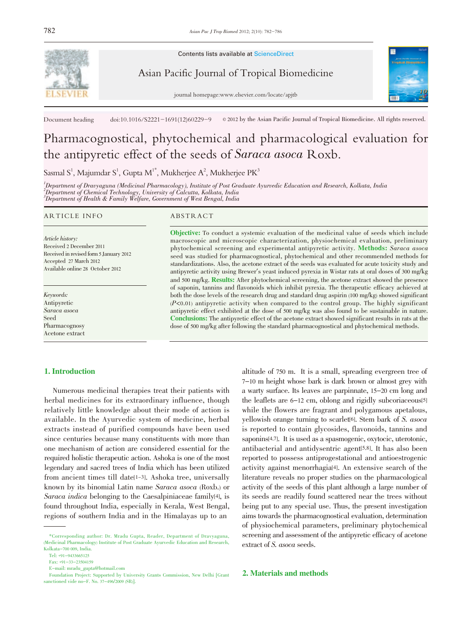

Contents lists available at ScienceDirect

Asian Pacific Journal of Tropical Biomedicine

journal homepage:www.elsevier.com/locate/apjtb



Document heading doi:10.1016/S2221-1691(12)60229-9  $\circ$  2012 by the Asian Pacific Journal of Tropical Biomedicine. All rights reserved.

# Pharmacognostical, phytochemical and pharmacological evaluation for the antipyretic effect of the seeds of Saraca asoca Roxb.

Sasmal S<sup>1</sup>, Majumdar S<sup>1</sup>, Gupta M<sup>1\*</sup>, Mukherjee A<sup>2</sup>, Mukherjee PK<sup>3</sup>

1 Department of Dravyaguna (Medicinal Pharmacology), Institute of Post Graduate Ayurvedic Education and Research, Kolkata, India 2 Department of Chemical Technology, University of Calcutta, Kolkata, India 3 Department of Health & Family Welfare, Government of West Bengal, India

# ARTICLE INFO ABSTRACT

Article history: Received 2 December 2011 Received in revised form 5 January 2012 Accepted 27 March 2012 Available online 28 October 2012

Keywords: Antipyretic Saraca asoca Seed Pharmacognosy Acetone extract

Objective: To conduct a systemic evaluation of the medicinal value of seeds which include macroscopic and microscopic characterization, physiochemical evaluation, preliminary phytochemical screening and experimental antipyretic activity. Methods: Saraca asoca seed was studied for pharmacognostical, phytochemical and other recommended methods for standardizations. Also, the acetone extract of the seeds was evaluated for acute toxicity study and antipyretic activity using Brewer's yeast induced pyrexia in Wistar rats at oral doses of <sup>300</sup> mg/kg and <sup>500</sup> mg/kg. Results: After phytochemical screening, the acetone extract showed the presence of saponin, tannins and flavonoids which inhibit pyrexia. The therapeutic efficacy achieved at both the dose levels of the research drug and standard drug aspirin (100 mg/kg) showed significant  $(P<0.01)$  antipyretic activity when compared to the control group. The highly significant antipyretic effect exhibited at the dose of 500 mg/kg was also found to be sustainable in nature. Conclusions: The antipyretic effect of the acetone extract showed significant results in rats at the dose of 500 mg/kg after following the standard pharmacognostical and phytochemical methods.

# 1. Introduction

Numerous medicinal therapies treat their patients with herbal medicines for its extraordinary influence, though relatively little knowledge about their mode of action is available. In the Ayurvedic system of medicine, herbal extracts instead of purified compounds have been used since centuries because many constituents with more than one mechanism of action are considered essential for the required holistic therapeutic action. Ashoka is one of the most legendary and sacred trees of India which has been utilized from ancient times till date[1-3]. Ashoka tree, universally known by its binomial Latin name Saraca asoca (Roxb.) or Saraca indica belonging to the Caesalpiniaceae family[4], is found throughout India, especially in Kerala, West Bengal, regions of southern India and in the Himalayas up to an

altitude of 750 m. It is a small, spreading evergreen tree of 7-10 m height whose bark is dark brown or almost grey with a warty surface. Its leaves are parpinnate, 15-20 cm long and the leaflets are 6-12 cm, oblong and rigidly subcoriaceous[5] while the flowers are fragrant and polygamous apetalous, yellowish orange turning to scarlet<sup>[6]</sup>. Stem bark of S. asoca is reported to contain glycosides, flavonoids, tannins and saponins<sup>[4,7]</sup>. It is used as a spasmogenic, oxytocic, uterotonic, antibacterial and antidysentric agent[5,8]. It has also been reported to possess antiprogestational and antioestrogenic activity against menorrhagia[4]. An extensive search of the literature reveals no proper studies on the pharmacological activity of the seeds of this plant although a large number of its seeds are readily found scattered near the trees without being put to any special use. Thus, the present investigation aims towards the pharmacognostical evaluation, determination of physiochemical parameters, preliminary phytochemical screening and assessment of the antipyretic efficacy of acetone extract of S. asoca seeds.

# 2. Materials and methods

<sup>\*</sup>Corresponding author: Dr. Mradu Gupta, Reader, Department of Dravyaguna, (Medicinal Pharmacology) Institute of Post Graduate Ayurvedic Education and Research, Kolkata-700 009, India.

Tel: +91-9433665125

Fax: +91-33-23504159

E-mail: mradu\_gupta@hotmail.com

Foundation Project: Supported by University Grants Commission, New Delhi [Grant sanctioned vide no-F. No. 37-496/2009 (SR)].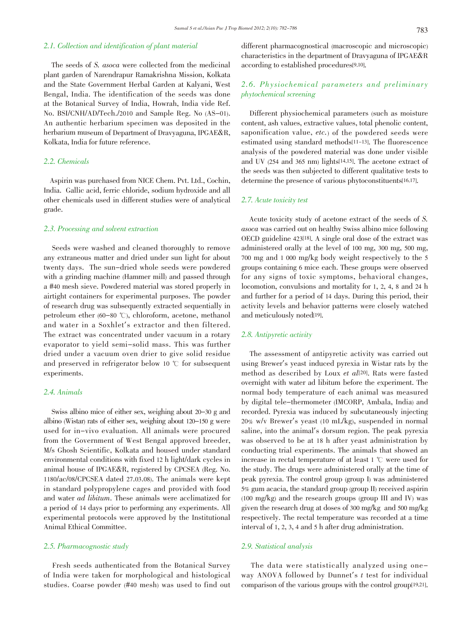# 2.1. Collection and identification of plant material

The seeds of S. asoca were collected from the medicinal plant garden of Narendrapur Ramakrishna Mission, Kolkata and the State Government Herbal Garden at Kalyani, West Bengal, India. The identification of the seeds was done at the Botanical Survey of India, Howrah, India vide Ref. No. BSI/CNH/AD/Tech./2010 and Sample Reg. No (AS-01). An authentic herbarium specimen was deposited in the herbarium museum of Department of Dravyaguna, IPGAE&R, Kolkata, India for future reference.

# 2.2. Chemicals

Aspirin was purchased from NICE Chem. Pvt. Ltd., Cochin, India. Gallic acid, ferric chloride, sodium hydroxide and all other chemicals used in different studies were of analytical grade.

# 2.3. Processing and solvent extraction

Seeds were washed and cleaned thoroughly to remove any extraneous matter and dried under sun light for about twenty days. The sun-dried whole seeds were powdered with a grinding machine (Hammer mill) and passed through a #40 mesh sieve. Powdered material was stored properly in airtight containers for experimental purposes. The powder of research drug was subsequently extracted sequentially in petroleum ether  $(60-80 \degree C)$ , chloroform, acetone, methanol and water in a Soxhlet's extractor and then filtered. The extract was concentrated under vacuum in a rotary evaporator to yield semi-solid mass. This was further dried under a vacuum oven drier to give solid residue and preserved in refrigerator below 10  $\degree$  for subsequent experiments.

# 2.4. Animals

Swiss albino mice of either sex, weighing about 20-30 g and albino (Wistar) rats of either sex, weighing about 120-150 g were used for in-vivo evaluation. All animals were procured from the Government of West Bengal approved breeder, M/s Ghosh Scientific, Kolkata and housed under standard environmental conditions with fixed 12 h light/dark cycles in animal house of IPGAE&R, registered by CPCSEA (Reg. No. 1180/ac/08/CPCSEA dated 27.03.08). The animals were kept in standard polypropylene cages and provided with food and water ad libitum. These animals were acclimatized for a period of 14 days prior to performing any experiments. All experimental protocols were approved by the Institutional Animal Ethical Committee.

# 2.5. Pharmacognostic study

Fresh seeds authenticated from the Botanical Survey of India were taken for morphological and histological studies. Coarse powder (#40 mesh) was used to find out

different pharmacognostical (macroscopic and microscopic) characteristics in the department of Dravyaguna of IPGAE&R according to established procedures[9,10].

# 2.6. Physiochemical parameters and preliminary phytochemical screening

Different physiochemical parameters (such as moisture content, ash values, extractive values, total phenolic content, saponification value, etc.) of the powdered seeds were estimated using standard methods[11-13]. The fluorescence analysis of the powdered material was done under visible and UV (254 and 365 nm) lights[14,15]. The acetone extract of the seeds was then subjected to different qualitative tests to determine the presence of various phytoconstituents[16,17].

# 2.7. Acute toxicity test

Acute toxicity study of acetone extract of the seeds of S. asoca was carried out on healthy Swiss albino mice following OECD guideline 423[18]. A single oral dose of the extract was administered orally at the level of 100 mg, 300 mg, 500 mg, 700 mg and 1 000 mg/kg body weight respectively to the 5 groups containing 6 mice each. These groups were observed for any signs of toxic symptoms, behavioral changes, locomotion, convulsions and mortality for 1, 2, 4, 8 and 24 h and further for a period of 14 days. During this period, their activity levels and behavior patterns were closely watched and meticulously noted[19].

# 2.8. Antipyretic activity

The assessment of antipyretic activity was carried out using Brewer's yeast induced pyrexia in Wistar rats by the method as described by Loux et al<sup>[20]</sup>. Rats were fasted overnight with water ad libitum before the experiment. The normal body temperature of each animal was measured by digital tele-thermometer (IMCORP, Ambala, India) and recorded. Pyrexia was induced by subcutaneously injecting 20% w/v Brewer's yeast (10 mL/kg), suspended in normal saline, into the animal's dorsum region. The peak pyrexia was observed to be at 18 h after yeast administration by conducting trial experiments. The animals that showed an increase in rectal temperature of at least  $1 \degree$ C were used for the study. The drugs were administered orally at the time of peak pyrexia. The control group (group I) was administered 5% gum acacia, the standard group (group II) received aspirin (100 mg/kg) and the research groups (group III and IV) was given the research drug at doses of 300 mg/kg and 500 mg/kg respectively. The rectal temperature was recorded at a time interval of 1, 2, 3, 4 and 5 h after drug administration.

# 2.9. Statistical analysis

The data were statistically analyzed using oneway ANOVA followed by Dunnet's t test for individual comparison of the various groups with the control group[19,21].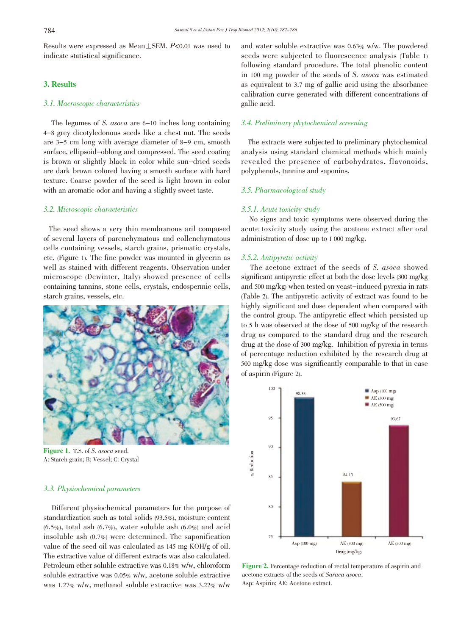Results were expressed as Mean $\pm$ SEM. P<0.01 was used to indicate statistical significance.

# 3. Results

# 3.1. Macroscopic characteristics

The legumes of S. asoca are 6-10 inches long containing 4-8 grey dicotyledonous seeds like a chest nut. The seeds are 3-5 cm long with average diameter of 8-9 cm, smooth surface, ellipsoid-oblong and compressed. The seed coating is brown or slightly black in color while sun-dried seeds are dark brown colored having a smooth surface with hard texture. Coarse powder of the seed is light brown in color with an aromatic odor and having a slightly sweet taste.

# 3.2. Microscopic characteristics

The seed shows a very thin membranous aril composed of several layers of parenchymatous and collenchymatous cells containing vessels, starch grains, prismatic crystals, etc. (Figure 1). The fine powder was mounted in glycerin as well as stained with different reagents. Observation under microscope (Dewinter, Italy) showed presence of cells containing tannins, stone cells, crystals, endospermic cells, starch grains, vessels, etc.



Figure 1. T.S. of S. asoca seed. A: Starch grain; B: Vessel; C: Crystal

# 3.3. Physiochemical parameters

Different physiochemical parameters for the purpose of standardization such as total solids (93.5%), moisture content  $(6.5\%)$ , total ash  $(6.7\%)$ , water soluble ash  $(6.0\%)$  and acid insoluble ash (0.7%) were determined. The saponification value of the seed oil was calculated as 145 mg KOH/g of oil. The extractive value of different extracts was also calculated. Petroleum ether soluble extractive was 0.18% w/w, chloroform soluble extractive was 0.05% w/w, acetone soluble extractive was 1.27% w/w, methanol soluble extractive was 3.22% w/w

and water soluble extractive was 0.63% w/w. The powdered seeds were subjected to fluorescence analysis (Table 1) following standard procedure. The total phenolic content in <sup>100</sup> mg powder of the seeds of S. asoca was estimated as equivalent to 3.7 mg of gallic acid using the absorbance calibration curve generated with different concentrations of gallic acid.

# 3.4. Preliminary phytochemical screening

The extracts were subjected to preliminary phytochemical analysis using standard chemical methods which mainly revealed the presence of carbohydrates, flavonoids, polyphenols, tannins and saponins.

#### 3.5. Pharmacological study

# 3.5.1. Acute toxicity study

No signs and toxic symptoms were observed during the acute toxicity study using the acetone extract after oral administration of dose up to 1 000 mg/kg.

## 3.5.2. Antipyretic activity

The acetone extract of the seeds of S. asoca showed significant antipyretic effect at both the dose levels (300 mg/kg and 500 mg/kg) when tested on yeast-induced pyrexia in rats (Table 2). The antipyretic activity of extract was found to be highly significant and dose dependent when compared with the control group. The antipyretic effect which persisted up to 5 h was observed at the dose of 500 mg/kg of the research drug as compared to the standard drug and the research drug at the dose of 300 mg/kg. Inhibition of pyrexia in terms of percentage reduction exhibited by the research drug at 500 mg/kg dose was significantly comparable to that in case of aspirin (Figure 2).



Figure 2. Percentage reduction of rectal temperature of aspirin and acetone extracts of the seeds of Saraca asoca. Asp: Aspirin; AE: Acetone extract.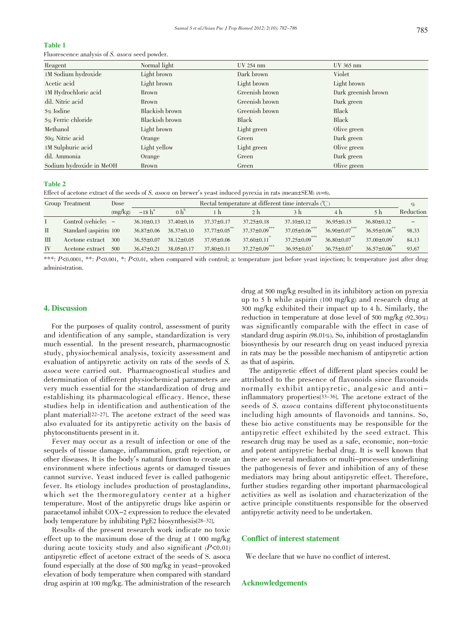# Table 1

Fluorescence analysis of S. asoca seed powder.

| Reagent                  | Normal light   | UV 254 nm      | UV 365 nm           |
|--------------------------|----------------|----------------|---------------------|
| 1M Sodium hydroxide      | Light brown    | Dark brown     | Violet              |
| Acetic acid              | Light brown    | Light brown    | Light brown         |
| 1M Hydrochloric acid     | <b>Brown</b>   | Greenish brown | Dark greenish brown |
| dil. Nitric acid         | <b>Brown</b>   | Greenish brown | Dark green          |
| $5\%$ Iodine             | Blackish brown | Greenish brown | Black               |
| $5\%$ Ferric chloride    | Blackish brown | Black          | Black               |
| Methanol                 | Light brown    | Light green    | Olive green         |
| $50\%$ Nitric acid       | Orange         | Green          | Dark green          |
| 1M Sulphuric acid        | Light yellow   | Light green    | Olive green         |
| dil. Ammonia             | Orange         | Green          | Dark green          |
| Sodium hydroxide in MeOH | <b>Brown</b>   | Green          | Olive green         |

Table 2

Effect of acetone extract of the seeds of S. asoca on brewer's yeast induced pyrexia in rats (mean±SEM) (n=6).

|    | Group Treatment        | Dose    |                  | Rectal temperature at different time intervals $(\mathcal{C})$ |                  |                         |                         |                         |                  | $\%$      |
|----|------------------------|---------|------------------|----------------------------------------------------------------|------------------|-------------------------|-------------------------|-------------------------|------------------|-----------|
|    |                        | (mg/kg) | $-18h^a$         | $0 h^{\rm b}$                                                  | -h               | 2 <sub>h</sub>          | 3 h                     | 4 h                     | 5 <sub>h</sub>   | Reduction |
|    | Control (vehicle) $-$  |         | $36.10 \pm 0.13$ | $37.40 \pm 0.16$                                               | $37.37 \pm 0.17$ | $37.25 \pm 0.18$        | $37.10 \pm 0.12$        | $36.95 \pm 0.15$        | $36.80 \pm 0.12$ |           |
| П. | Standard (aspirin) 100 |         | $36.87 \pm 0.06$ | $38.37 \pm 0.10$                                               | $37.77 \pm 0.05$ | $37.37 \pm 0.09$        | ***<br>$37.05 \pm 0.06$ | ***<br>$36.90 \pm 0.07$ | $36.95 \pm 0.06$ | 98.33     |
| Ш  | Acetone extract        | 300     | $36.55 \pm 0.07$ | $38.12 \pm 0.05$                                               | $37.95 \pm 0.06$ | $37.60 \pm 0.11$        | $37.25 \pm 0.09$        | $36.80 \pm 0.07$        | $37.00 \pm 0.09$ | 84.13     |
| IV | Acetone extract        | 500     | $36.47 \pm 0.21$ | $38.05 \pm 0.17$                                               | $37.80 \pm 0.11$ | ***<br>$37.27 \pm 0.09$ | $36.95 \pm 0.03$        | $36.75 \pm 0.07$        | $36.57 \pm 0.06$ | 93.67     |

\*\*\*: P<0.0001, \*\*: P<0.001, \*: P<0.01, when compared with control; a: temperature just before yeast injection; b: temperature just after drug administration.

#### 4. Discussion

For the purposes of quality control, assessment of purity and identification of any sample, standardization is very much essential. In the present research, pharmacognostic study, physiochemical analysis, toxicity assessment and evaluation of antipyretic activity on rats of the seeds of S. asoca were carried out. Pharmacognostical studies and determination of different physiochemical parameters are very much essential for the standardization of drug and establishing its pharmacological efficacy. Hence, these studies help in identification and authentication of the plant material[22-27]. The acetone extract of the seed was also evaluated for its antipyretic activity on the basis of phytoconstituents present in it.

Fever may occur as a result of infection or one of the sequels of tissue damage, inflammation, graft rejection, or other diseases. It is the body's natural function to create an environment where infectious agents or damaged tissues cannot survive. Yeast induced fever is called pathogenic fever. Its etiology includes production of prostaglandins, which set the thermoregulatory center at a higher temperature. Most of the antipyretic drugs like aspirin or paracetamol inhibit COX-2 expression to reduce the elevated body temperature by inhibiting PgE2 biosynthesis[28-32].

Results of the present research work indicate no toxic effect up to the maximum dose of the drug at 1 000 mg/kg during acute toxicity study and also significant  $(P<0.01)$ antipyretic effect of acetone extract of the seeds of S. asoca found especially at the dose of 500 mg/kg in yeast-provoked elevation of body temperature when compared with standard drug aspirin at 100 mg/kg. The administration of the research

drug at 500 mg/kg resulted in its inhibitory action on pyrexia up to 5 h while aspirin (100 mg/kg) and research drug at 300 mg/kg exhibited their impact up to 4 h. Similarly, the reduction in temperature at dose level of 500 mg/kg (92.30%) was significantly comparable with the effect in case of standard drug aspirin (98.01%). So, inhibition of prostaglandin biosynthesis by our research drug on yeast induced pyrexia in rats may be the possible mechanism of antipyretic action as that of aspirin.

The antipyretic effect of different plant species could be attributed to the presence of flavonoids since flavonoids normally exhibit antipyretic, analgesic and antiinflammatory properties[33-36]. The acetone extract of the seeds of S. asoca contains different phytoconstituents including high amounts of flavonoids and tannins. So, these bio active constituents may be responsible for the antipyretic effect exhibited by the seed extract. This research drug may be used as a safe, economic, non-toxic and potent antipyretic herbal drug. It is well known that there are several mediators or multi-processes underlining the pathogenesis of fever and inhibition of any of these mediators may bring about antipyretic effect. Therefore, further studies regarding other important pharmacological activities as well as isolation and characterization of the active principle constituents responsible for the observed antipyretic activity need to be undertaken.

# Conflict of interest statement

We declare that we have no conflict of interest.

#### Acknowledgements